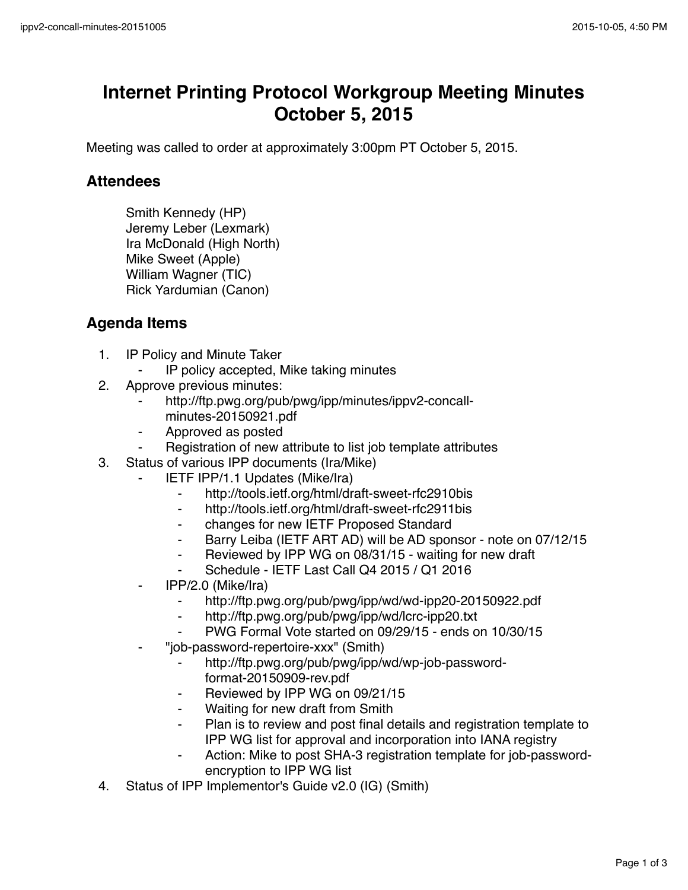## **Internet Printing Protocol Workgroup Meeting Minutes October 5, 2015**

Meeting was called to order at approximately 3:00pm PT October 5, 2015.

## **Attendees**

Smith Kennedy (HP) Jeremy Leber (Lexmark) Ira McDonald (High North) Mike Sweet (Apple) William Wagner (TIC) Rick Yardumian (Canon)

## **Agenda Items**

- 1. IP Policy and Minute Taker
	- IP policy accepted, Mike taking minutes
- 2. Approve previous minutes:
	- http://ftp.pwg.org/pub/pwg/ipp/minutes/ippv2-concallminutes-20150921.pdf
	- ⁃ Approved as posted
	- Registration of new attribute to list job template attributes
- 3. Status of various IPP documents (Ira/Mike)
	- **IETF IPP/1.1 Updates (Mike/Ira)** 
		- ⁃ http://tools.ietf.org/html/draft-sweet-rfc2910bis
		- ⁃ http://tools.ietf.org/html/draft-sweet-rfc2911bis
		- ⁃ changes for new IETF Proposed Standard
		- Barry Leiba (IETF ART AD) will be AD sponsor note on 07/12/15
		- Reviewed by IPP WG on 08/31/15 waiting for new draft
		- Schedule IETF Last Call Q4 2015 / Q1 2016
	- ⁃ IPP/2.0 (Mike/Ira)
		- ⁃ http://ftp.pwg.org/pub/pwg/ipp/wd/wd-ipp20-20150922.pdf
		- http://ftp.pwg.org/pub/pwg/ipp/wd/lcrc-ipp20.txt
		- PWG Formal Vote started on 09/29/15 ends on 10/30/15
	- ⁃ "job-password-repertoire-xxx" (Smith)
		- http://ftp.pwg.org/pub/pwg/ipp/wd/wp-job-passwordformat-20150909-rev.pdf
		- Reviewed by IPP WG on 09/21/15
		- Waiting for new draft from Smith
		- Plan is to review and post final details and registration template to IPP WG list for approval and incorporation into IANA registry
		- Action: Mike to post SHA-3 registration template for job-passwordencryption to IPP WG list
- 4. Status of IPP Implementor's Guide v2.0 (IG) (Smith)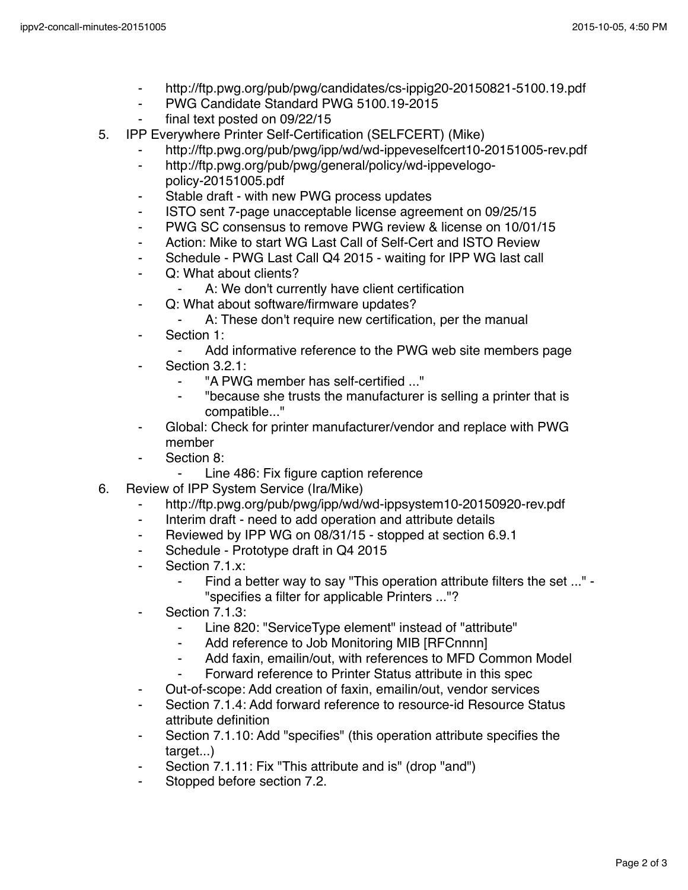- http://ftp.pwg.org/pub/pwg/candidates/cs-ippig20-20150821-5100.19.pdf
- ⁃ PWG Candidate Standard PWG 5100.19-2015
- final text posted on 09/22/15
- 5. IPP Everywhere Printer Self-Certification (SELFCERT) (Mike)
	- http://ftp.pwg.org/pub/pwg/ipp/wd/wd-ippeveselfcert10-20151005-rev.pdf
	- ⁃ http://ftp.pwg.org/pub/pwg/general/policy/wd-ippevelogopolicy-20151005.pdf
	- Stable draft with new PWG process updates
	- ⁃ ISTO sent 7-page unacceptable license agreement on 09/25/15
	- ⁃ PWG SC consensus to remove PWG review & license on 10/01/15
	- ⁃ Action: Mike to start WG Last Call of Self-Cert and ISTO Review
	- ⁃ Schedule PWG Last Call Q4 2015 waiting for IPP WG last call
	- ⁃ Q: What about clients?
		- A: We don't currently have client certification
	- ⁃ Q: What about software/firmware updates?
		- A: These don't require new certification, per the manual
	- Section 1:
		- ⁃ Add informative reference to the PWG web site members page
		- Section 3.2.1:
			- ⁃ "A PWG member has self-certified ..."
			- ⁃ "because she trusts the manufacturer is selling a printer that is compatible..."
	- Global: Check for printer manufacturer/vendor and replace with PWG member
	- Section 8:
		- Line 486: Fix figure caption reference
- 6. Review of IPP System Service (Ira/Mike)
	- ⁃ http://ftp.pwg.org/pub/pwg/ipp/wd/wd-ippsystem10-20150920-rev.pdf
	- ⁃ Interim draft need to add operation and attribute details
	- ⁃ Reviewed by IPP WG on 08/31/15 stopped at section 6.9.1
	- ⁃ Schedule Prototype draft in Q4 2015
	- ⁃ Section 7.1.x:
		- ⁃ Find a better way to say "This operation attribute filters the set ..." "specifies a filter for applicable Printers ..."?
	- ⁃ Section 7.1.3:
		- Line 820: "ServiceType element" instead of "attribute"
		- ⁃ Add reference to Job Monitoring MIB [RFCnnnn]
		- Add faxin, emailin/out, with references to MFD Common Model
		- Forward reference to Printer Status attribute in this spec
	- ⁃ Out-of-scope: Add creation of faxin, emailin/out, vendor services
	- Section 7.1.4: Add forward reference to resource-id Resource Status attribute definition
	- Section 7.1.10: Add "specifies" (this operation attribute specifies the target...)
	- ⁃ Section 7.1.11: Fix "This attribute and is" (drop "and")
	- Stopped before section 7.2.